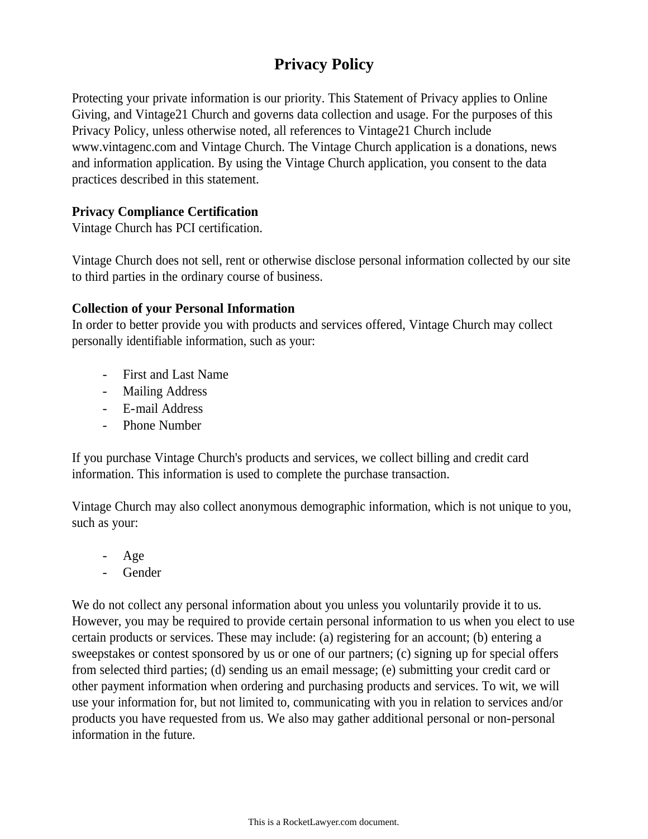# **Privacy Policy**

Protecting your private information is our priority. This Statement of Privacy applies to Online Giving, and Vintage21 Church and governs data collection and usage. For the purposes of this Privacy Policy, unless otherwise noted, all references to Vintage21 Church include www.vintagenc.com and Vintage Church. The Vintage Church application is a donations, news and information application. By using the Vintage Church application, you consent to the data practices described in this statement.

## **Privacy Compliance Certification**

Vintage Church has PCI certification.

Vintage Church does not sell, rent or otherwise disclose personal information collected by our site to third parties in the ordinary course of business.

### **Collection of your Personal Information**

In order to better provide you with products and services offered, Vintage Church may collect personally identifiable information, such as your:

- First and Last Name
- Mailing Address
- E-mail Address
- Phone Number

If you purchase Vintage Church's products and services, we collect billing and credit card information. This information is used to complete the purchase transaction.

Vintage Church may also collect anonymous demographic information, which is not unique to you, such as your:

- Age
- **Gender**

We do not collect any personal information about you unless you voluntarily provide it to us. However, you may be required to provide certain personal information to us when you elect to use certain products or services. These may include: (a) registering for an account; (b) entering a sweepstakes or contest sponsored by us or one of our partners; (c) signing up for special offers from selected third parties; (d) sending us an email message; (e) submitting your credit card or other payment information when ordering and purchasing products and services. To wit, we will use your information for, but not limited to, communicating with you in relation to services and/or products you have requested from us. We also may gather additional personal or non-personal information in the future.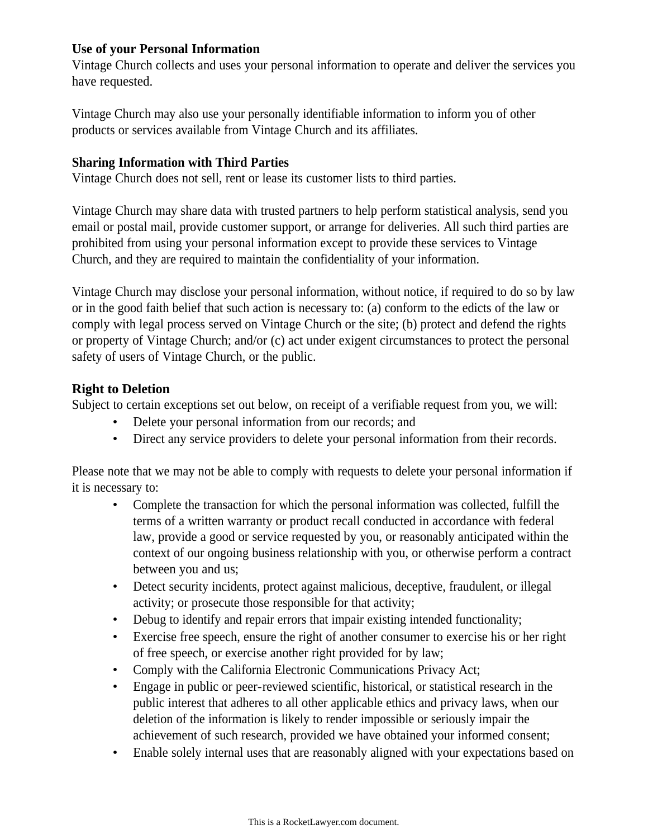### **Use of your Personal Information**

Vintage Church collects and uses your personal information to operate and deliver the services you have requested.

Vintage Church may also use your personally identifiable information to inform you of other products or services available from Vintage Church and its affiliates.

### **Sharing Information with Third Parties**

Vintage Church does not sell, rent or lease its customer lists to third parties.

Vintage Church may share data with trusted partners to help perform statistical analysis, send you email or postal mail, provide customer support, or arrange for deliveries. All such third parties are prohibited from using your personal information except to provide these services to Vintage Church, and they are required to maintain the confidentiality of your information.

Vintage Church may disclose your personal information, without notice, if required to do so by law or in the good faith belief that such action is necessary to: (a) conform to the edicts of the law or comply with legal process served on Vintage Church or the site; (b) protect and defend the rights or property of Vintage Church; and/or (c) act under exigent circumstances to protect the personal safety of users of Vintage Church, or the public.

## **Right to Deletion**

Subject to certain exceptions set out below, on receipt of a verifiable request from you, we will:

- Delete your personal information from our records; and
- Direct any service providers to delete your personal information from their records.

Please note that we may not be able to comply with requests to delete your personal information if it is necessary to:

- Complete the transaction for which the personal information was collected, fulfill the terms of a written warranty or product recall conducted in accordance with federal law, provide a good or service requested by you, or reasonably anticipated within the context of our ongoing business relationship with you, or otherwise perform a contract between you and us;
- Detect security incidents, protect against malicious, deceptive, fraudulent, or illegal activity; or prosecute those responsible for that activity;
- Debug to identify and repair errors that impair existing intended functionality;
- Exercise free speech, ensure the right of another consumer to exercise his or her right of free speech, or exercise another right provided for by law;
- Comply with the California Electronic Communications Privacy Act;
- Engage in public or peer-reviewed scientific, historical, or statistical research in the public interest that adheres to all other applicable ethics and privacy laws, when our deletion of the information is likely to render impossible or seriously impair the achievement of such research, provided we have obtained your informed consent;
- Enable solely internal uses that are reasonably aligned with your expectations based on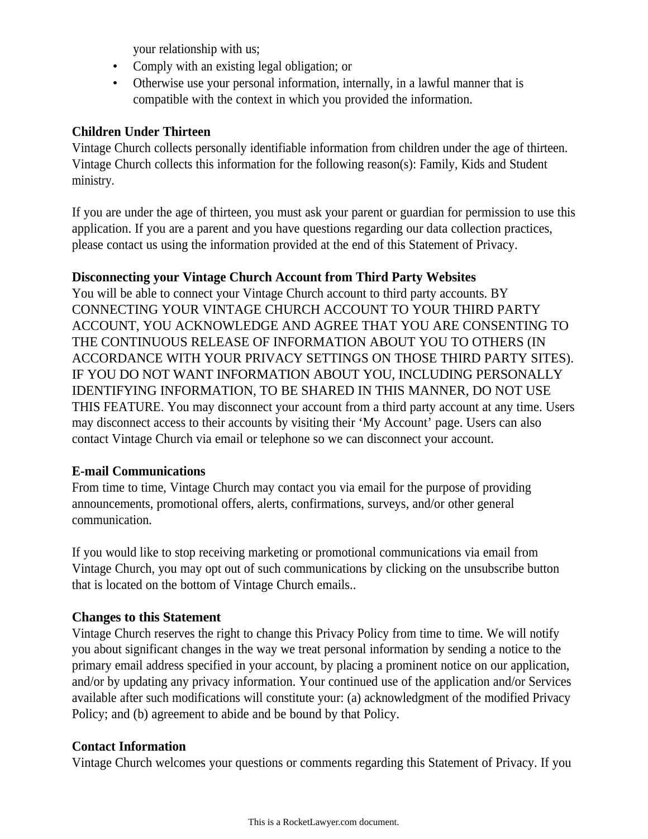your relationship with us;

- Comply with an existing legal obligation; or
- Otherwise use your personal information, internally, in a lawful manner that is compatible with the context in which you provided the information.

### **Children Under Thirteen**

Vintage Church collects personally identifiable information from children under the age of thirteen. Vintage Church collects this information for the following reason(s): Family, Kids and Student ministry.

If you are under the age of thirteen, you must ask your parent or guardian for permission to use this application. If you are a parent and you have questions regarding our data collection practices, please contact us using the information provided at the end of this Statement of Privacy.

### **Disconnecting your Vintage Church Account from Third Party Websites**

You will be able to connect your Vintage Church account to third party accounts. BY CONNECTING YOUR VINTAGE CHURCH ACCOUNT TO YOUR THIRD PARTY ACCOUNT, YOU ACKNOWLEDGE AND AGREE THAT YOU ARE CONSENTING TO THE CONTINUOUS RELEASE OF INFORMATION ABOUT YOU TO OTHERS (IN ACCORDANCE WITH YOUR PRIVACY SETTINGS ON THOSE THIRD PARTY SITES). IF YOU DO NOT WANT INFORMATION ABOUT YOU, INCLUDING PERSONALLY IDENTIFYING INFORMATION, TO BE SHARED IN THIS MANNER, DO NOT USE THIS FEATURE. You may disconnect your account from a third party account at any time. Users may disconnect access to their accounts by visiting their 'My Account' page. Users can also contact Vintage Church via email or telephone so we can disconnect your account.

## **E-mail Communications**

From time to time, Vintage Church may contact you via email for the purpose of providing announcements, promotional offers, alerts, confirmations, surveys, and/or other general communication.

If you would like to stop receiving marketing or promotional communications via email from Vintage Church, you may opt out of such communications by clicking on the unsubscribe button that is located on the bottom of Vintage Church emails..

## **Changes to this Statement**

Vintage Church reserves the right to change this Privacy Policy from time to time. We will notify you about significant changes in the way we treat personal information by sending a notice to the primary email address specified in your account, by placing a prominent notice on our application, and/or by updating any privacy information. Your continued use of the application and/or Services available after such modifications will constitute your: (a) acknowledgment of the modified Privacy Policy; and (b) agreement to abide and be bound by that Policy.

## **Contact Information**

Vintage Church welcomes your questions or comments regarding this Statement of Privacy. If you